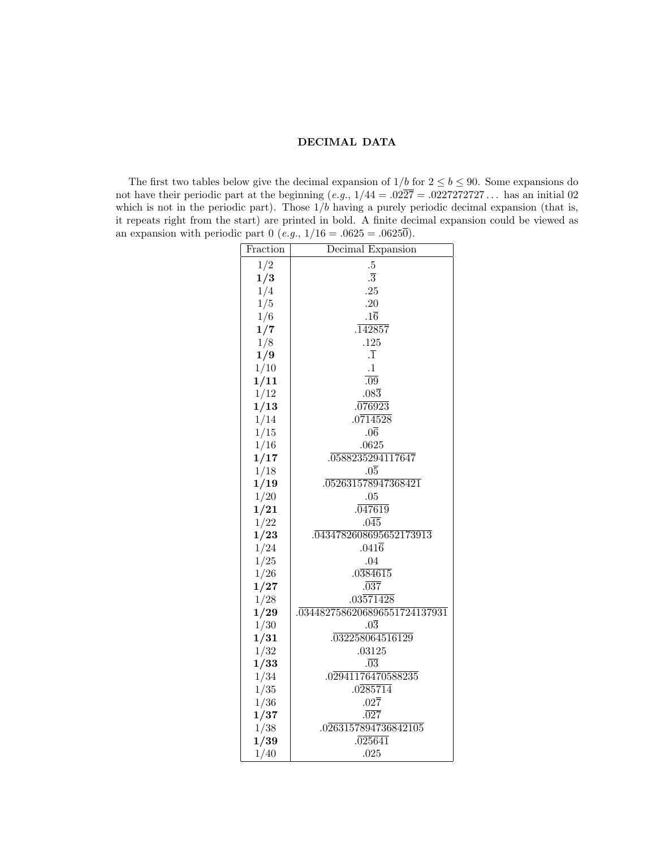## DECIMAL DATA

The first two tables below give the decimal expansion of  $1/b$  for  $2 \le b \le 90$ . Some expansions do not have their periodic part at the beginning  $(e.g., 1/44 = .02\overline{27} = .0227272727...$  has an initial 02 which is not in the periodic part). Those  $1/b$  having a purely periodic decimal expansion (that is, it repeats right from the start) are printed in bold. A finite decimal expansion could be viewed as an expansion with periodic part 0 (e.g.,  $1/16 = .0625 = .06250$ ).

| Fraction | Decimal Expansion                |  |  |  |  |  |  |
|----------|----------------------------------|--|--|--|--|--|--|
| 1/2      | $.5\,$                           |  |  |  |  |  |  |
| 1/3      | $\overline{3}$                   |  |  |  |  |  |  |
| 1/4      | .25                              |  |  |  |  |  |  |
| 1/5      | .20                              |  |  |  |  |  |  |
| 1/6      | $.1\overline{6}$                 |  |  |  |  |  |  |
| 1/7      | .142857                          |  |  |  |  |  |  |
| 1/8      | .125                             |  |  |  |  |  |  |
| 1/9      | $\overline{1}$                   |  |  |  |  |  |  |
| 1/10     | $\cdot 1$                        |  |  |  |  |  |  |
| 1/11     | $\overline{.09}$                 |  |  |  |  |  |  |
| 1/12     | $.08\overline{3}$                |  |  |  |  |  |  |
| 1/13     | .076923                          |  |  |  |  |  |  |
| 1/14     | .0714528                         |  |  |  |  |  |  |
| 1/15     | .06                              |  |  |  |  |  |  |
| 1/16     | .0625                            |  |  |  |  |  |  |
| 1/17     | 0588235294117647                 |  |  |  |  |  |  |
| 1/18     | .05                              |  |  |  |  |  |  |
| 1/19     | $.\overline{052631578947368421}$ |  |  |  |  |  |  |
| 1/20     | .05                              |  |  |  |  |  |  |
| 1/21     | .047619                          |  |  |  |  |  |  |
| 1/22     | .045                             |  |  |  |  |  |  |
| 1/23     | 0434782608695652173913           |  |  |  |  |  |  |
| 1/24     | $.041\overline{6}$               |  |  |  |  |  |  |
| 1/25     | .04                              |  |  |  |  |  |  |
| 1/26     | .0384615                         |  |  |  |  |  |  |
| 1/27     | .037                             |  |  |  |  |  |  |
| 1/28     | .03571428                        |  |  |  |  |  |  |
| 1/29     | 0344827586206896551724137931     |  |  |  |  |  |  |
| 1/30     | $.0\overline{3}$                 |  |  |  |  |  |  |
| 1/31     | 032258064516129                  |  |  |  |  |  |  |
| 1/32     | .03125                           |  |  |  |  |  |  |
| 1/33     | .03                              |  |  |  |  |  |  |
| 1/34     | .02941176470588235               |  |  |  |  |  |  |
| 1/35     | .0285714                         |  |  |  |  |  |  |
| 1/36     | $.02\overline{7}$                |  |  |  |  |  |  |
| 1/37     | .027                             |  |  |  |  |  |  |
| 1/38     | .0263157894736842105             |  |  |  |  |  |  |
| 1/39     | .025641                          |  |  |  |  |  |  |
| 1/40     | .025                             |  |  |  |  |  |  |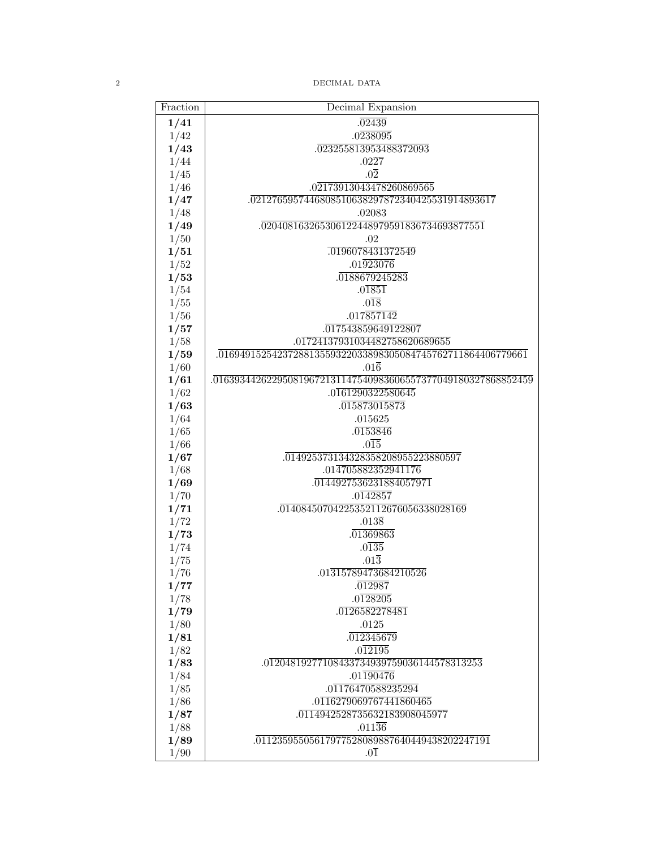$\,$   $\,$   $\,$   $\,$   $\,$   $\,$  DECIMAL DATA  $\,$   $\,$  DECIMAL DATA

| Fraction | Decimal Expansion                                                          |
|----------|----------------------------------------------------------------------------|
| 1/41     | .02439                                                                     |
| 1/42     | .0238095                                                                   |
| 1/43     | .023255813953488372093                                                     |
| 1/44     | $.02\overline{27}$                                                         |
| 1/45     | $.0\overline{2}$                                                           |
| 1/46     | .02173913043478260869565                                                   |
| 1/47     | .0212765957446808510638297872340425531914893617                            |
| 1/48     | .02083                                                                     |
| 1/49     | .020408163265306122448979591836734693877551                                |
| 1/50     | .02                                                                        |
| 1/51     | .0196078431372549                                                          |
| 1/52     | $.01\overline{923076}$                                                     |
| 1/53     | 0188679245283                                                              |
| 1/54     | .01851                                                                     |
| 1/55     | $.0\overline{18}$                                                          |
| 1/56     | .017857142                                                                 |
| 1/57     | 017543859649122807                                                         |
| 1/58     | .01724137931034482758620689655                                             |
| 1/59     | .0169491525423728813559322033898305084745762711864406779661                |
| 1/60     | $.01\overline{6}$                                                          |
| 1/61     | $.\overline{016393442622950819672131147540983606557377049180327868852459}$ |
| 1/62     | .0161290322580645                                                          |
| 1/63     | .015873015873                                                              |
| 1/64     | .015625                                                                    |
| 1/65     | .0153846                                                                   |
| 1/66     | $.0\overline{15}$                                                          |
| 1/67     | 014925373134328358208955223880597                                          |
| 1/68     | .014705882352941176                                                        |
| 1/69     | 0144927536231884057971                                                     |
| 1/70     | .0142857                                                                   |
| 1/71     | 01408450704225352112676056338028169                                        |
| 1/72     | $.013\overline{8}$                                                         |
| 1/73     | .01369863                                                                  |
| 1/74     | .0135                                                                      |
| 1/75     | $.01\overline{3}$                                                          |
| 1/76     | .01315789473684210526                                                      |
| 1/77     | .012987                                                                    |
| 1/78     | .0128205                                                                   |
| 1/79     | 0126582278481                                                              |
| 1/80     | $.0125\,$                                                                  |
| 1/81     | .012345679                                                                 |
| 1/82     | .012195                                                                    |
| 1/83     | $.0\overline{1204819277108433734939759036144578313253}$                    |
| 1/84     | $.01\overline{190476}$                                                     |
| 1/85     | .01176470588235294                                                         |
| 1/86     | .0116279069767441860465                                                    |
| 1/87     | 0114942528735632183908045977                                               |
| 1/88     | $.011\overline{36}$                                                        |
| 1/89     | $.\overline{01123595505617977528089887640449438202247191}$                 |
| 1/90     | $.0\overline{1}$                                                           |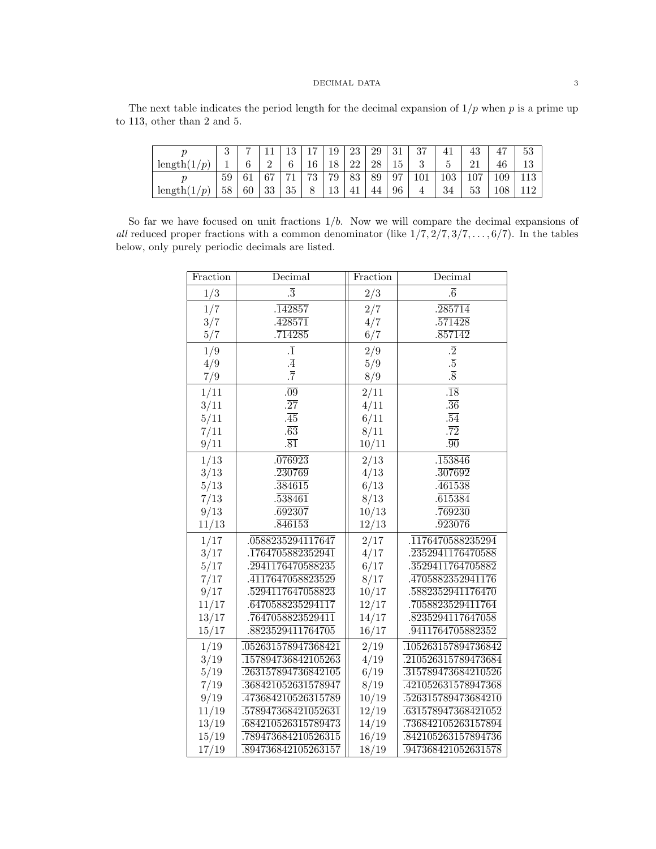## ${\rm DECIMAL\,\;DATA} \hspace{2.5cm} 3$

The next table indicates the period length for the decimal expansion of  $1/p$  when p is a prime up to 113, other than 2 and 5.

|                          | 9<br>◡ |            |        |      |    | 19 | 23 | 29 | -21<br>ΩT | 37          | 41  |          | 47      | 53  |
|--------------------------|--------|------------|--------|------|----|----|----|----|-----------|-------------|-----|----------|---------|-----|
| length(<br>$\mathcal{D}$ |        | $\epsilon$ | ິ<br>∸ |      | 16 | 18 | 22 | 28 | - G.L     |             |     |          | 40      | 19  |
|                          | 59     | 61         | 67     | $-1$ | 79 | 79 | 83 | 89 | 97<br>◡   |             | 103 | $\Omega$ | 109     | 113 |
| length(<br>$\mathcal{D}$ | 58     | 60         | 33     | 35   |    | 13 | 41 | 44 | 96        | $\mathbf 4$ | 34  | υu       | $108\,$ |     |

So far we have focused on unit fractions  $1/b$ . Now we will compare the decimal expansions of all reduced proper fractions with a common denominator (like  $1/7$ ,  $2/7$ ,  $3/7$ , ...,  $6/7$ ). In the tables below, only purely periodic decimals are listed.

| Fraction | Decimal              | Fraction | Decimal              |
|----------|----------------------|----------|----------------------|
| 1/3      | $\overline{3}$       | 2/3      | $\overline{6}$       |
| 1/7      | $.\overline{142857}$ | 2/7      | $.\overline{285714}$ |
| 3/7      | .428571              | 4/7      | .571428              |
| 5/7      | .714285              | 6/7      | $.\overline{857142}$ |
| 1/9      | $\cdot \overline{1}$ | 2/9      | $\overline{2}$       |
| 4/9      | $\cdot \overline{4}$ | 5/9      | $.\overline{5}$      |
| 7/9      | $\overline{7}$       | 8/9      | $\overline{8}$       |
| 1/11     | .09                  | 2/11     | $\overline{.18}$     |
| 3/11     | $\overline{27}$      | 4/11     | $.\overline{36}$     |
| 5/11     | $\overline{45}$      | 6/11     | $.\overline{54}$     |
| 7/11     | $.\overline{63}$     | 8/11     | $.\overline{72}$     |
| 9/11     | $.\overline{81}$     | 10/11    | .90                  |
| 1/13     | .076923              | 2/13     | .153846              |
| 3/13     | .230769              | 4/13     | .307692              |
| 5/13     | .384615              | 6/13     | .461538              |
| 7/13     | .538461              | 8/13     | .615384              |
| 9/13     | .692307              | 10/13    | .769230              |
| 11/13    | .846153              | 12/13    | .923076              |
| 1/17     | 0588235294117647     | 2/17     | 1176470588235294     |
| 3/17     | 1764705882352941     | 4/17     | 2352941176470588     |
| 5/17     | 2941176470588235     | 6/17     | 3529411764705882     |
| 7/17     | 4117647058823529     | 8/17     | 4705882352941176     |
| 9/17     | 5294117647058823     | 10/17    | 5882352941176470     |
| 11/17    | 6470588235294117     | 12/17    | 7058823529411764     |
| 13/17    | 7647058823529411     | 14/17    | 8235294117647058     |
| 15/17    | 8823529411764705     | 16/17    | 9411764705882352     |
| 1/19     | 052631578947368421   | 2/19     | 105263157894736842   |
| 3/19     | 157894736842105263   | 4/19     | .210526315789473684  |
| 5/19     | .263157894736842105  | 6/19     | 315789473684210526   |
| 7/19     | 368421052631578947   | 8/19     | .421052631578947368  |
| 9/19     | .473684210526315789  | 10/19    | .526315789473684210  |
| 11/19    | .578947368421052631  | 12/19    | .631578947368421052  |
| 13/19    | 684210526315789473   | 14/19    | 736842105263157894   |
| 15/19    | 789473684210526315   | 16/19    | .842105263157894736  |
| 17/19    | 894736842105263157   | 18/19    | 947368421052631578   |